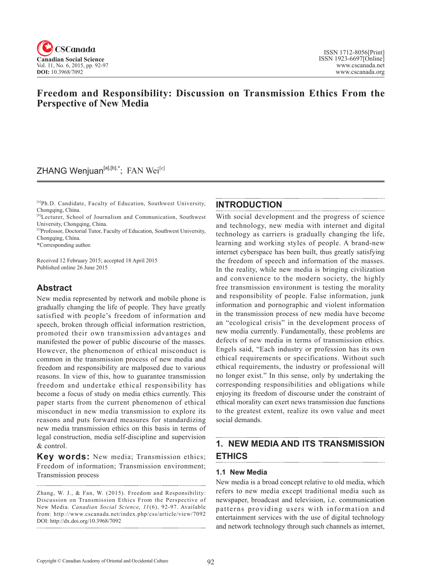

## **Freedom and Responsibility: Discussion on Transmission Ethics From the Perspective of New Media**

## ZHANG Wenjuan<sup>[a],[b],\*</sup>; FAN Wei<sup>[c]</sup>

[a]Ph.D. Candidate, Faculty of Education, Southwest University, Chongqing, China.

- [b]Lecturer, School of Journalism and Communication, Southwest University, Chongqing, China.
- [c]Professor, Doctorial Tutor, Faculty of Education, Southwest University, Chongqing, China.

\*Corresponding author.

Received 12 February 2015; accepted 18 April 2015 Published online 26 June 2015

## **Abstract**

New media represented by network and mobile phone is gradually changing the life of people. They have greatly satisfied with people's freedom of information and speech, broken through official information restriction, promoted their own transmission advantages and manifested the power of public discourse of the masses. However, the phenomenon of ethical misconduct is common in the transmission process of new media and freedom and responsibility are malposed due to various reasons. In view of this, how to guarantee transmission freedom and undertake ethical responsibility has become a focus of study on media ethics currently. This paper starts from the current phenomenon of ethical misconduct in new media transmission to explore its reasons and puts forward measures for standardizing new media transmission ethics on this basis in terms of legal construction, media self-discipline and supervision & control.

**Key words:** New media; Transmission ethics; Freedom of information; Transmission environment; Transmission process

#### **INTRODUCTION**

With social development and the progress of science and technology, new media with internet and digital technology as carriers is gradually changing the life, learning and working styles of people. A brand-new internet cyberspace has been built, thus greatly satisfying the freedom of speech and information of the masses. In the reality, while new media is bringing civilization and convenience to the modern society, the highly free transmission environment is testing the morality and responsibility of people. False information, junk information and pornographic and violent information in the transmission process of new media have become an "ecological crisis" in the development process of new media currently. Fundamentally, these problems are defects of new media in terms of transmission ethics. Engels said, "Each industry or profession has its own ethical requirements or specifications. Without such ethical requirements, the industry or professional will no longer exist." In this sense, only by undertaking the corresponding responsibilities and obligations while enjoying its freedom of discourse under the constraint of ethical morality can exert news transmission due functions to the greatest extent, realize its own value and meet social demands.

#### **1. NEW MEDIA AND ITS TRANSMISSION ETHICS**

#### **1.1 New Media**

New media is a broad concept relative to old media, which refers to new media except traditional media such as newspaper, broadcast and television, i.e. communication patterns providing users with information and entertainment services with the use of digital technology and network technology through such channels as internet,

Zhang, W. J., & Fan, W. (2015). Freedom and Responsibility: Discussion on Transmission Ethics From the Perspective of New Media. *Canadian Social Science*, <sup>11</sup> (6), 92-97. Available from: http://www.cscanada.net/index.php/css/article/view/7092 DOI: http://dx.doi.org/10.3968/7092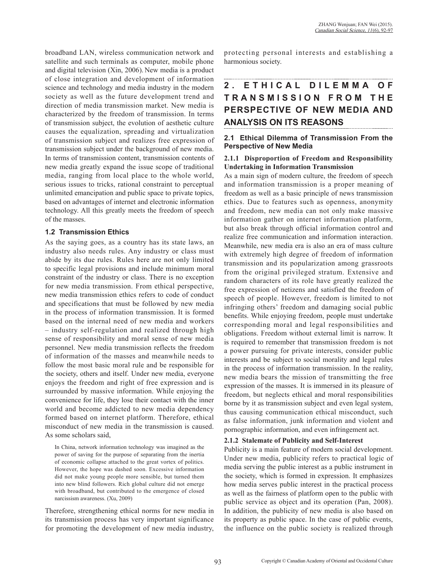broadband LAN, wireless communication network and satellite and such terminals as computer, mobile phone and digital television (Xin, 2006). New media is a product of close integration and development of information science and technology and media industry in the modern society as well as the future development trend and direction of media transmission market. New media is characterized by the freedom of transmission. In terms of transmission subject, the evolution of aesthetic culture causes the equalization, spreading and virtualization of transmission subject and realizes free expression of transmission subject under the background of new media. In terms of transmission content, transmission contents of new media greatly expand the issue scope of traditional media, ranging from local place to the whole world, serious issues to tricks, rational constraint to perceptual unlimited emancipation and public space to private topics, based on advantages of internet and electronic information technology. All this greatly meets the freedom of speech of the masses.

#### **1.2 Transmission Ethics**

As the saying goes, as a country has its state laws, an industry also needs rules. Any industry or class must abide by its due rules. Rules here are not only limited to specific legal provisions and include minimum moral constraint of the industry or class. There is no exception for new media transmission. From ethical perspective, new media transmission ethics refers to code of conduct and specifications that must be followed by new media in the process of information transmission. It is formed based on the internal need of new media and workers – industry self-regulation and realized through high sense of responsibility and moral sense of new media personnel. New media transmission reflects the freedom of information of the masses and meanwhile needs to follow the most basic moral rule and be responsible for the society, others and itself. Under new media, everyone enjoys the freedom and right of free expression and is surrounded by massive information. While enjoying the convenience for life, they lose their contact with the inner world and become addicted to new media dependency formed based on internet platform. Therefore, ethical misconduct of new media in the transmission is caused. As some scholars said,

In China, network information technology was imagined as the power of saving for the purpose of separating from the inertia of economic collapse attached to the great vortex of politics. However, the hope was dashed soon. Excessive information did not make young people more sensible, but turned them into new blind followers. Rich global culture did not emerge with broadband, but contributed to the emergence of closed narcissism awareness. (Xu, 2009)

Therefore, strengthening ethical norms for new media in its transmission process has very important significance for promoting the development of new media industry,

protecting personal interests and establishing a harmonious society.

# **2 . E T H I C A L D I L E M M A O F T R A N S M I S S I O N F R O M T H E PERSPECTIVE OF NEW MEDIA AND ANALYSIS ON ITS REASONS**

### **2.1 Ethical Dilemma of Transmission From the Perspective of New Media**

#### **2.1.1 Disproportion of Freedom and Responsibility Undertaking in Information Transmission**

As a main sign of modern culture, the freedom of speech and information transmission is a proper meaning of freedom as well as a basic principle of news transmission ethics. Due to features such as openness, anonymity and freedom, new media can not only make massive information gather on internet information platform, but also break through official information control and realize free communication and information interaction. Meanwhile, new media era is also an era of mass culture with extremely high degree of freedom of information transmission and its popularization among grassroots from the original privileged stratum. Extensive and random characters of its role have greatly realized the free expression of netizens and satisfied the freedom of speech of people. However, freedom is limited to not infringing others' freedom and damaging social public benefits. While enjoying freedom, people must undertake corresponding moral and legal responsibilities and obligations. Freedom without external limit is narrow. It is required to remember that transmission freedom is not a power pursuing for private interests, consider public interests and be subject to social morality and legal rules in the process of information transmission. In the reality, new media bears the mission of transmitting the free expression of the masses. It is immersed in its pleasure of freedom, but neglects ethical and moral responsibilities borne by it as transmission subject and even legal system, thus causing communication ethical misconduct, such as false information, junk information and violent and pornographic information, and even infringement act.

#### **2.1.2 Stalemate of Publicity and Self-Interest**

Publicity is a main feature of modern social development. Under new media, publicity refers to practical logic of media serving the public interest as a public instrument in the society, which is formed in expression. It emphasizes how media serves public interest in the practical process as well as the fairness of platform open to the public with public service as object and its operation (Pan, 2008). In addition, the publicity of new media is also based on its property as public space. In the case of public events, the influence on the public society is realized through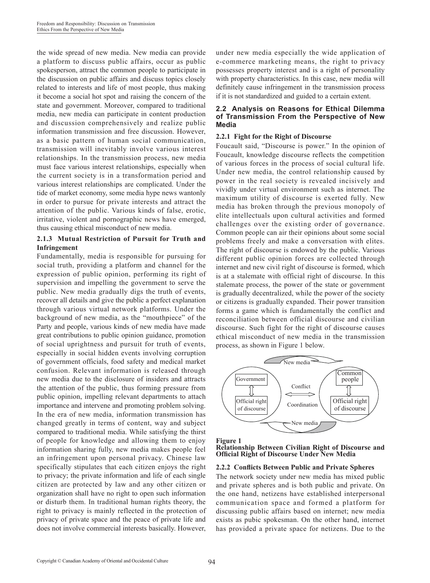the wide spread of new media. New media can provide a platform to discuss public affairs, occur as public spokesperson, attract the common people to participate in the discussion on public affairs and discuss topics closely related to interests and life of most people, thus making it become a social hot spot and raising the concern of the state and government. Moreover, compared to traditional media, new media can participate in content production and discussion comprehensively and realize public information transmission and free discussion. However, as a basic pattern of human social communication, transmission will inevitably involve various interest relationships. In the transmission process, new media must face various interest relationships, especially when the current society is in a transformation period and various interest relationships are complicated. Under the tide of market economy, some media hype news wantonly in order to pursue for private interests and attract the attention of the public. Various kinds of false, erotic, irritative, violent and pornographic news have emerged, thus causing ethical misconduct of new media.

#### **2.1.3 Mutual Restriction of Pursuit for Truth and Infringement**

Fundamentally, media is responsible for pursuing for social truth, providing a platform and channel for the expression of public opinion, performing its right of supervision and impelling the government to serve the public. New media gradually digs the truth of events, recover all details and give the public a perfect explanation through various virtual network platforms. Under the background of new media, as the "mouthpiece" of the Party and people, various kinds of new media have made great contributions to public opinion guidance, promotion of social uprightness and pursuit for truth of events, especially in social hidden events involving corruption of government officials, food safety and medical market confusion. Relevant information is released through new media due to the disclosure of insiders and attracts the attention of the public, thus forming pressure from public opinion, impelling relevant departments to attach importance and intervene and promoting problem solving. In the era of new media, information transmission has changed greatly in terms of content, way and subject compared to traditional media. While satisfying the thirst of people for knowledge and allowing them to enjoy information sharing fully, new media makes people feel an infringement upon personal privacy. Chinese law specifically stipulates that each citizen enjoys the right to privacy; the private information and life of each single citizen are protected by law and any other citizen or organization shall have no right to open such information or disturb them. In traditional human rights theory, the right to privacy is mainly reflected in the protection of privacy of private space and the peace of private life and does not involve commercial interests basically. However,

under new media especially the wide application of e-commerce marketing means, the right to privacy possesses property interest and is a right of personality with property characteristics. In this case, new media will definitely cause infringement in the transmission process if it is not standardized and guided to a certain extent.

#### **2.2 Analysis on Reasons for Ethical Dilemma of Transmission From the Perspective of New Media**

#### **2.2.1 Fight for the Right of Discourse**

Foucault said, "Discourse is power." In the opinion of Foucault, knowledge discourse reflects the competition of various forces in the process of social cultural life. Under new media, the control relationship caused by power in the real society is revealed incisively and vividly under virtual environment such as internet. The maximum utility of discourse is exerted fully. New media has broken through the previous monopoly of elite intellectuals upon cultural activities and formed challenges over the existing order of governance. Common people can air their opinions about some social problems freely and make a conversation with elites. The right of discourse is endowed by the public. Various different public opinion forces are collected through internet and new civil right of discourse is formed, which is at a stalemate with official right of discourse. In this stalemate process, the power of the state or government is gradually decentralized, while the power of the society or citizens is gradually expanded. Their power transition forms a game which is fundamentally the conflict and reconciliation between official discourse and civilian discourse. Such fight for the right of discourse causes ethical misconduct of new media in the transmission process, as shown in Figure 1 below.





**Relationship Between Civilian Right of Discourse and Official Right of Discourse Under New Media**

#### **2.2.2 Conflicts Between Public and Private Spheres**

The network society under new media has mixed public and private spheres and is both public and private. On the one hand, netizens have established interpersonal communication space and formed a platform for discussing public affairs based on internet; new media exists as pubic spokesman. On the other hand, internet has provided a private space for netizens. Due to the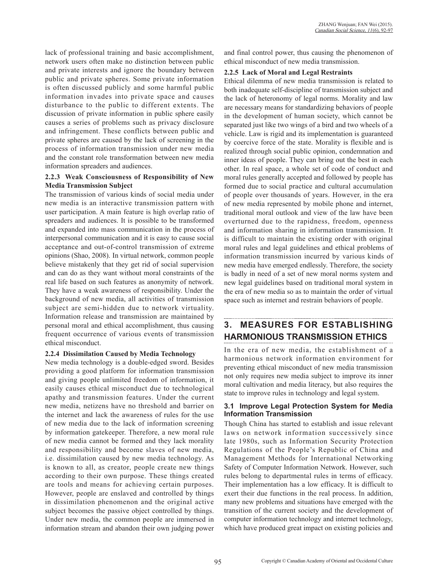lack of professional training and basic accomplishment, network users often make no distinction between public and private interests and ignore the boundary between public and private spheres. Some private information is often discussed publicly and some harmful public information invades into private space and causes disturbance to the public to different extents. The discussion of private information in public sphere easily causes a series of problems such as privacy disclosure and infringement. These conflicts between public and private spheres are caused by the lack of screening in the process of information transmission under new media and the constant role transformation between new media information spreaders and audiences.

#### **2.2.3 Weak Consciousness of Responsibility of New Media Transmission Subject**

The transmission of various kinds of social media under new media is an interactive transmission pattern with user participation. A main feature is high overlap ratio of spreaders and audiences. It is possible to be transformed and expanded into mass communication in the process of interpersonal communication and it is easy to cause social acceptance and out-of-control transmission of extreme opinions (Shao, 2008). In virtual network, common people believe mistakenly that they get rid of social supervision and can do as they want without moral constraints of the real life based on such features as anonymity of network. They have a weak awareness of responsibility. Under the background of new media, all activities of transmission subject are semi-hidden due to network virtuality. Information release and transmission are maintained by personal moral and ethical accomplishment, thus causing frequent occurrence of various events of transmission ethical misconduct.

#### **2.2.4 Dissimilation Caused by Media Technology**

New media technology is a double-edged sword. Besides providing a good platform for information transmission and giving people unlimited freedom of information, it easily causes ethical misconduct due to technological apathy and transmission features. Under the current new media, netizens have no threshold and barrier on the internet and lack the awareness of rules for the use of new media due to the lack of information screening by information gatekeeper. Therefore, a new moral rule of new media cannot be formed and they lack morality and responsibility and become slaves of new media, i.e. dissimilation caused by new media technology. As is known to all, as creator, people create new things according to their own purpose. These things created are tools and means for achieving certain purposes. However, people are enslaved and controlled by things in dissimilation phenomenon and the original active subject becomes the passive object controlled by things. Under new media, the common people are immersed in information stream and abandon their own judging power and final control power, thus causing the phenomenon of ethical misconduct of new media transmission.

#### **2.2.5 Lack of Moral and Legal Restraints**

Ethical dilemma of new media transmission is related to both inadequate self-discipline of transmission subject and the lack of heteronomy of legal norms. Morality and law are necessary means for standardizing behaviors of people in the development of human society, which cannot be separated just like two wings of a bird and two wheels of a vehicle. Law is rigid and its implementation is guaranteed by coercive force of the state. Morality is flexible and is realized through social public opinion, condemnation and inner ideas of people. They can bring out the best in each other. In real space, a whole set of code of conduct and moral rules generally accepted and followed by people has formed due to social practice and cultural accumulation of people over thousands of years. However, in the era of new media represented by mobile phone and internet, traditional moral outlook and view of the law have been overturned due to the rapidness, freedom, openness and information sharing in information transmission. It is difficult to maintain the existing order with original moral rules and legal guidelines and ethical problems of information transmission incurred by various kinds of new media have emerged endlessly. Therefore, the society is badly in need of a set of new moral norms system and new legal guidelines based on traditional moral system in the era of new media so as to maintain the order of virtual space such as internet and restrain behaviors of people.

#### **3. MEASURES FOR ESTABLISHING HARMONIOUS TRANSMISSION ETHICS**

In the era of new media, the establishment of a harmonious network information environment for preventing ethical misconduct of new media transmission not only requires new media subject to improve its inner moral cultivation and media literacy, but also requires the state to improve rules in technology and legal system.

#### **3.1 Improve Legal Protection System for Media Information Transmission**

Though China has started to establish and issue relevant laws on network information successively since late 1980s, such as Information Security Protection Regulations of the People's Republic of China and Management Methods for International Networking Safety of Computer Information Network. However, such rules belong to departmental rules in terms of efficacy. Their implementation has a low efficacy. It is difficult to exert their due functions in the real process. In addition, many new problems and situations have emerged with the transition of the current society and the development of computer information technology and internet technology, which have produced great impact on existing policies and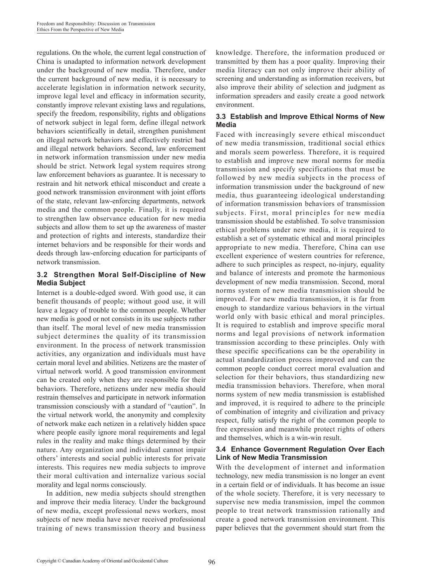regulations. On the whole, the current legal construction of China is unadapted to information network development under the background of new media. Therefore, under the current background of new media, it is necessary to accelerate legislation in information network security, improve legal level and efficacy in information security, constantly improve relevant existing laws and regulations, specify the freedom, responsibility, rights and obligations of network subject in legal form, define illegal network behaviors scientifically in detail, strengthen punishment on illegal network behaviors and effectively restrict bad and illegal network behaviors. Second, law enforcement in network information transmission under new media should be strict. Network legal system requires strong law enforcement behaviors as guarantee. It is necessary to restrain and hit network ethical misconduct and create a good network transmission environment with joint efforts of the state, relevant law-enforcing departments, network media and the common people. Finally, it is required to strengthen law observance education for new media subjects and allow them to set up the awareness of master and protection of rights and interests, standardize their internet behaviors and be responsible for their words and deeds through law-enforcing education for participants of network transmission.

#### **3.2 Strengthen Moral Self-Discipline of New Media Subject**

Internet is a double-edged sword. With good use, it can benefit thousands of people; without good use, it will leave a legacy of trouble to the common people. Whether new media is good or not consists in its use subjects rather than itself. The moral level of new media transmission subject determines the quality of its transmission environment. In the process of network transmission activities, any organization and individuals must have certain moral level and abilities. Netizens are the master of virtual network world. A good transmission environment can be created only when they are responsible for their behaviors. Therefore, netizens under new media should restrain themselves and participate in network information transmission consciously with a standard of "caution". In the virtual network world, the anonymity and complexity of network make each netizen in a relatively hidden space where people easily ignore moral requirements and legal rules in the reality and make things determined by their nature. Any organization and individual cannot impair others' interests and social public interests for private interests. This requires new media subjects to improve their moral cultivation and internalize various social morality and legal norms consciously.

In addition, new media subjects should strengthen and improve their media literacy. Under the background of new media, except professional news workers, most subjects of new media have never received professional training of news transmission theory and business knowledge. Therefore, the information produced or transmitted by them has a poor quality. Improving their media literacy can not only improve their ability of screening and understanding as information receivers, but also improve their ability of selection and judgment as information spreaders and easily create a good network environment.

#### **3.3 Establish and Improve Ethical Norms of New Media**

Faced with increasingly severe ethical misconduct of new media transmission, traditional social ethics and morals seem powerless. Therefore, it is required to establish and improve new moral norms for media transmission and specify specifications that must be followed by new media subjects in the process of information transmission under the background of new media, thus guaranteeing ideological understanding of information transmission behaviors of transmission subjects. First, moral principles for new media transmission should be established. To solve transmission ethical problems under new media, it is required to establish a set of systematic ethical and moral principles appropriate to new media. Therefore, China can use excellent experience of western countries for reference, adhere to such principles as respect, no-injury, equality and balance of interests and promote the harmonious development of new media transmission. Second, moral norms system of new media transmission should be improved. For new media transmission, it is far from enough to standardize various behaviors in the virtual world only with basic ethical and moral principles. It is required to establish and improve specific moral norms and legal provisions of network information transmission according to these principles. Only with these specific specifications can be the operability in actual standardization process improved and can the common people conduct correct moral evaluation and selection for their behaviors, thus standardizing new media transmission behaviors. Therefore, when moral norms system of new media transmission is established and improved, it is required to adhere to the principle of combination of integrity and civilization and privacy respect, fully satisfy the right of the common people to free expression and meanwhile protect rights of others and themselves, which is a win-win result.

#### **3.4 Enhance Government Regulation Over Each Link of New Media Transmission**

With the development of internet and information technology, new media transmission is no longer an event in a certain field or of individuals. It has become an issue of the whole society. Therefore, it is very necessary to supervise new media transmission, impel the common people to treat network transmission rationally and create a good network transmission environment. This paper believes that the government should start from the